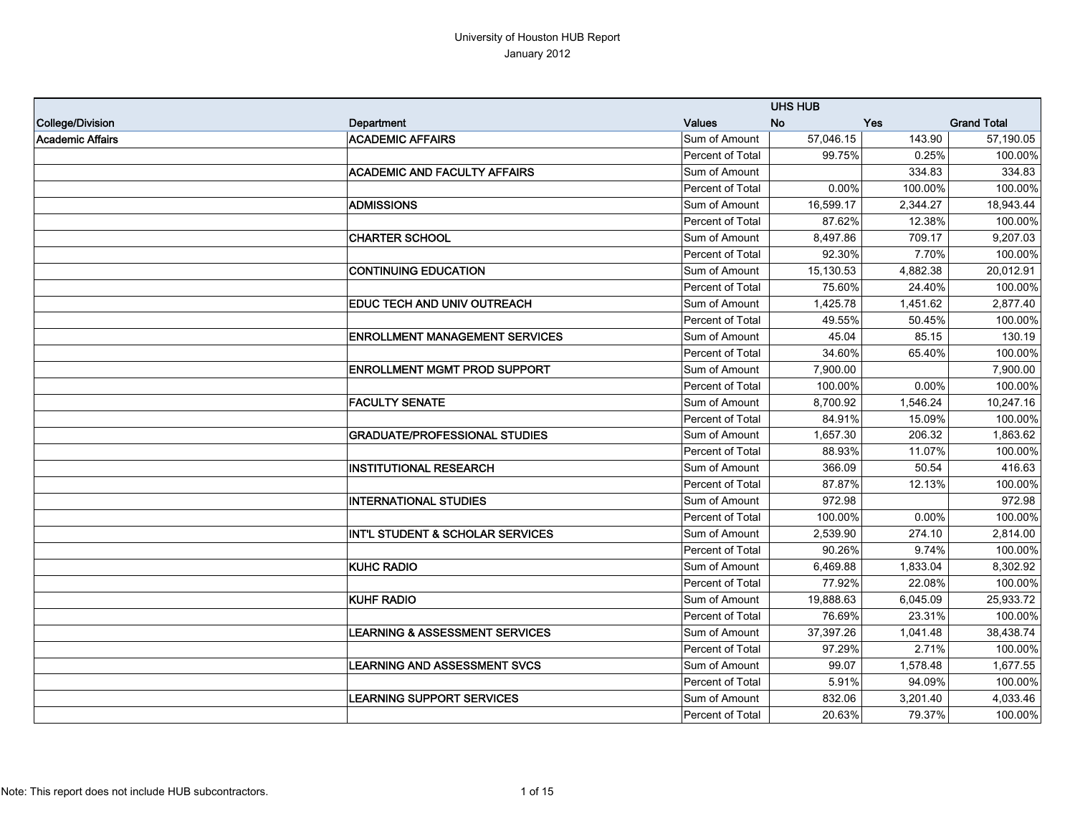|                  |                                             |                  | <b>UHS HUB</b> |          |                    |
|------------------|---------------------------------------------|------------------|----------------|----------|--------------------|
| College/Division | Department                                  | <b>Values</b>    | <b>No</b>      | Yes      | <b>Grand Total</b> |
| Academic Affairs | <b>ACADEMIC AFFAIRS</b>                     | Sum of Amount    | 57,046.15      | 143.90   | 57,190.05          |
|                  |                                             | Percent of Total | 99.75%         | 0.25%    | 100.00%            |
|                  | <b>ACADEMIC AND FACULTY AFFAIRS</b>         | Sum of Amount    |                | 334.83   | 334.83             |
|                  |                                             | Percent of Total | 0.00%          | 100.00%  | 100.00%            |
|                  | <b>ADMISSIONS</b>                           | Sum of Amount    | 16,599.17      | 2,344.27 | 18,943.44          |
|                  |                                             | Percent of Total | 87.62%         | 12.38%   | 100.00%            |
|                  | <b>CHARTER SCHOOL</b>                       | Sum of Amount    | 8,497.86       | 709.17   | 9,207.03           |
|                  |                                             | Percent of Total | 92.30%         | 7.70%    | 100.00%            |
|                  | <b>CONTINUING EDUCATION</b>                 | Sum of Amount    | 15,130.53      | 4,882.38 | 20,012.91          |
|                  |                                             | Percent of Total | 75.60%         | 24.40%   | 100.00%            |
|                  | <b>EDUC TECH AND UNIV OUTREACH</b>          | Sum of Amount    | 1,425.78       | 1,451.62 | 2,877.40           |
|                  |                                             | Percent of Total | 49.55%         | 50.45%   | 100.00%            |
|                  | <b>ENROLLMENT MANAGEMENT SERVICES</b>       | Sum of Amount    | 45.04          | 85.15    | 130.19             |
|                  |                                             | Percent of Total | 34.60%         | 65.40%   | 100.00%            |
|                  | <b>ENROLLMENT MGMT PROD SUPPORT</b>         | Sum of Amount    | 7,900.00       |          | 7,900.00           |
|                  |                                             | Percent of Total | 100.00%        | 0.00%    | 100.00%            |
|                  | <b>FACULTY SENATE</b>                       | Sum of Amount    | 8,700.92       | 1,546.24 | 10,247.16          |
|                  |                                             | Percent of Total | 84.91%         | 15.09%   | 100.00%            |
|                  | <b>GRADUATE/PROFESSIONAL STUDIES</b>        | Sum of Amount    | 1,657.30       | 206.32   | 1,863.62           |
|                  |                                             | Percent of Total | 88.93%         | 11.07%   | 100.00%            |
|                  | <b>INSTITUTIONAL RESEARCH</b>               | Sum of Amount    | 366.09         | 50.54    | 416.63             |
|                  |                                             | Percent of Total | 87.87%         | 12.13%   | 100.00%            |
|                  | <b>INTERNATIONAL STUDIES</b>                | Sum of Amount    | 972.98         |          | 972.98             |
|                  |                                             | Percent of Total | 100.00%        | 0.00%    | 100.00%            |
|                  | <b>INT'L STUDENT &amp; SCHOLAR SERVICES</b> | Sum of Amount    | 2,539.90       | 274.10   | 2,814.00           |
|                  |                                             | Percent of Total | 90.26%         | 9.74%    | 100.00%            |
|                  | <b>KUHC RADIO</b>                           | Sum of Amount    | 6,469.88       | 1,833.04 | 8,302.92           |
|                  |                                             | Percent of Total | 77.92%         | 22.08%   | 100.00%            |
|                  | <b>KUHF RADIO</b>                           | Sum of Amount    | 19,888.63      | 6,045.09 | 25,933.72          |
|                  |                                             | Percent of Total | 76.69%         | 23.31%   | 100.00%            |
|                  | <b>LEARNING &amp; ASSESSMENT SERVICES</b>   | Sum of Amount    | 37,397.26      | 1,041.48 | 38,438.74          |
|                  |                                             | Percent of Total | 97.29%         | 2.71%    | 100.00%            |
|                  | LEARNING AND ASSESSMENT SVCS                | Sum of Amount    | 99.07          | 1,578.48 | 1,677.55           |
|                  |                                             | Percent of Total | 5.91%          | 94.09%   | 100.00%            |
|                  | <b>LEARNING SUPPORT SERVICES</b>            | Sum of Amount    | 832.06         | 3,201.40 | 4,033.46           |
|                  |                                             | Percent of Total | 20.63%         | 79.37%   | 100.00%            |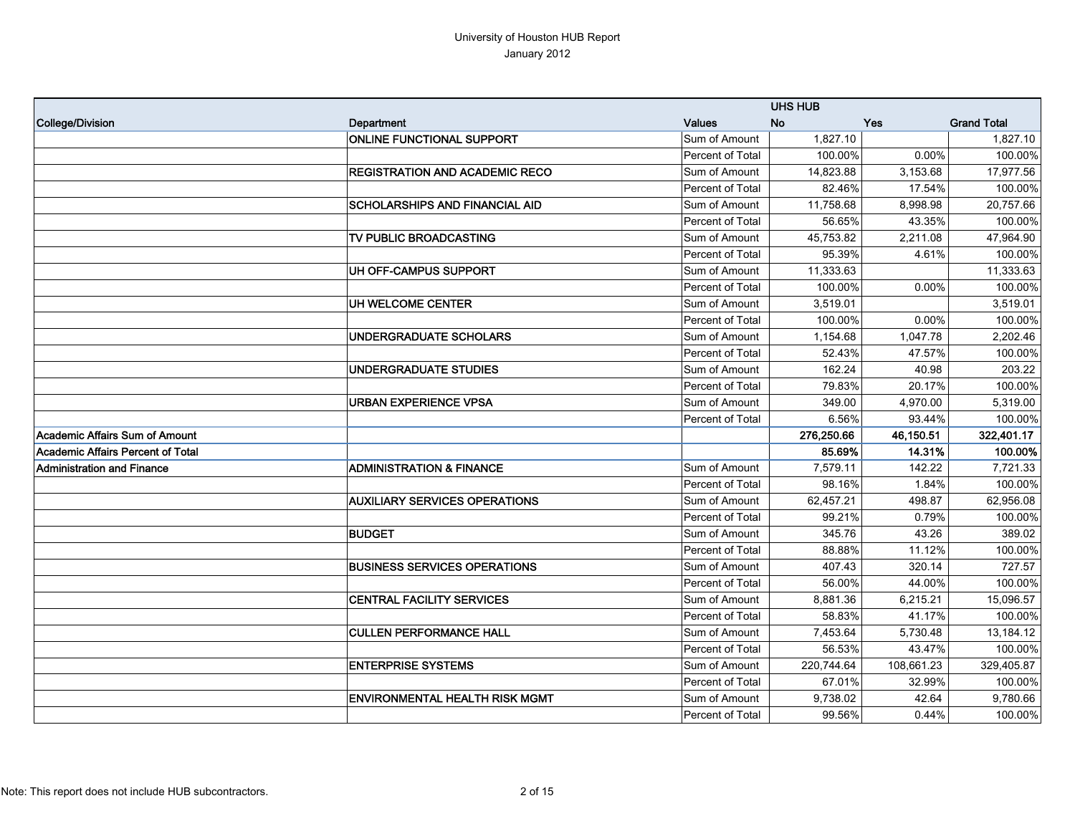|                                   |                                       |                         | <b>UHS HUB</b> |            |                    |
|-----------------------------------|---------------------------------------|-------------------------|----------------|------------|--------------------|
| College/Division                  | Department                            | <b>Values</b>           | <b>No</b>      | Yes        | <b>Grand Total</b> |
|                                   | <b>ONLINE FUNCTIONAL SUPPORT</b>      | Sum of Amount           | 1.827.10       |            | 1,827.10           |
|                                   |                                       | Percent of Total        | 100.00%        | 0.00%      | 100.00%            |
|                                   | <b>REGISTRATION AND ACADEMIC RECO</b> | Sum of Amount           | 14,823.88      | 3,153.68   | 17,977.56          |
|                                   |                                       | Percent of Total        | 82.46%         | 17.54%     | 100.00%            |
|                                   | <b>SCHOLARSHIPS AND FINANCIAL AID</b> | Sum of Amount           | 11,758.68      | 8.998.98   | 20,757.66          |
|                                   |                                       | Percent of Total        | 56.65%         | 43.35%     | 100.00%            |
|                                   | TV PUBLIC BROADCASTING                | Sum of Amount           | 45,753.82      | 2,211.08   | 47,964.90          |
|                                   |                                       | Percent of Total        | 95.39%         | 4.61%      | 100.00%            |
|                                   | UH OFF-CAMPUS SUPPORT                 | Sum of Amount           | 11,333.63      |            | 11,333.63          |
|                                   |                                       | Percent of Total        | 100.00%        | 0.00%      | 100.00%            |
|                                   | UH WELCOME CENTER                     | Sum of Amount           | 3,519.01       |            | 3,519.01           |
|                                   |                                       | Percent of Total        | 100.00%        | 0.00%      | 100.00%            |
|                                   | UNDERGRADUATE SCHOLARS                | Sum of Amount           | 1,154.68       | 1,047.78   | 2.202.46           |
|                                   |                                       | Percent of Total        | 52.43%         | 47.57%     | 100.00%            |
|                                   | <b>UNDERGRADUATE STUDIES</b>          | Sum of Amount           | 162.24         | 40.98      | 203.22             |
|                                   |                                       | Percent of Total        | 79.83%         | 20.17%     | 100.00%            |
|                                   | <b>URBAN EXPERIENCE VPSA</b>          | Sum of Amount           | 349.00         | 4,970.00   | 5,319.00           |
|                                   |                                       | Percent of Total        | 6.56%          | 93.44%     | 100.00%            |
| Academic Affairs Sum of Amount    |                                       |                         | 276,250.66     | 46,150.51  | 322,401.17         |
| Academic Affairs Percent of Total |                                       |                         | 85.69%         | 14.31%     | 100.00%            |
| <b>Administration and Finance</b> | <b>ADMINISTRATION &amp; FINANCE</b>   | Sum of Amount           | 7,579.11       | 142.22     | 7,721.33           |
|                                   |                                       | <b>Percent of Total</b> | 98.16%         | 1.84%      | 100.00%            |
|                                   | <b>AUXILIARY SERVICES OPERATIONS</b>  | Sum of Amount           | 62,457.21      | 498.87     | 62,956.08          |
|                                   |                                       | Percent of Total        | 99.21%         | 0.79%      | 100.00%            |
|                                   | <b>BUDGET</b>                         | Sum of Amount           | 345.76         | 43.26      | 389.02             |
|                                   |                                       | Percent of Total        | 88.88%         | 11.12%     | 100.00%            |
|                                   | <b>BUSINESS SERVICES OPERATIONS</b>   | Sum of Amount           | 407.43         | 320.14     | 727.57             |
|                                   |                                       | Percent of Total        | 56.00%         | 44.00%     | 100.00%            |
|                                   | <b>CENTRAL FACILITY SERVICES</b>      | Sum of Amount           | 8,881.36       | 6,215.21   | 15,096.57          |
|                                   |                                       | Percent of Total        | 58.83%         | 41.17%     | 100.00%            |
|                                   | <b>CULLEN PERFORMANCE HALL</b>        | Sum of Amount           | 7,453.64       | 5,730.48   | 13,184.12          |
|                                   |                                       | <b>Percent of Total</b> | 56.53%         | 43.47%     | 100.00%            |
|                                   | <b>ENTERPRISE SYSTEMS</b>             | Sum of Amount           | 220,744.64     | 108,661.23 | 329,405.87         |
|                                   |                                       | Percent of Total        | 67.01%         | 32.99%     | 100.00%            |
|                                   | <b>ENVIRONMENTAL HEALTH RISK MGMT</b> | Sum of Amount           | 9,738.02       | 42.64      | 9,780.66           |
|                                   |                                       | <b>Percent of Total</b> | 99.56%         | 0.44%      | 100.00%            |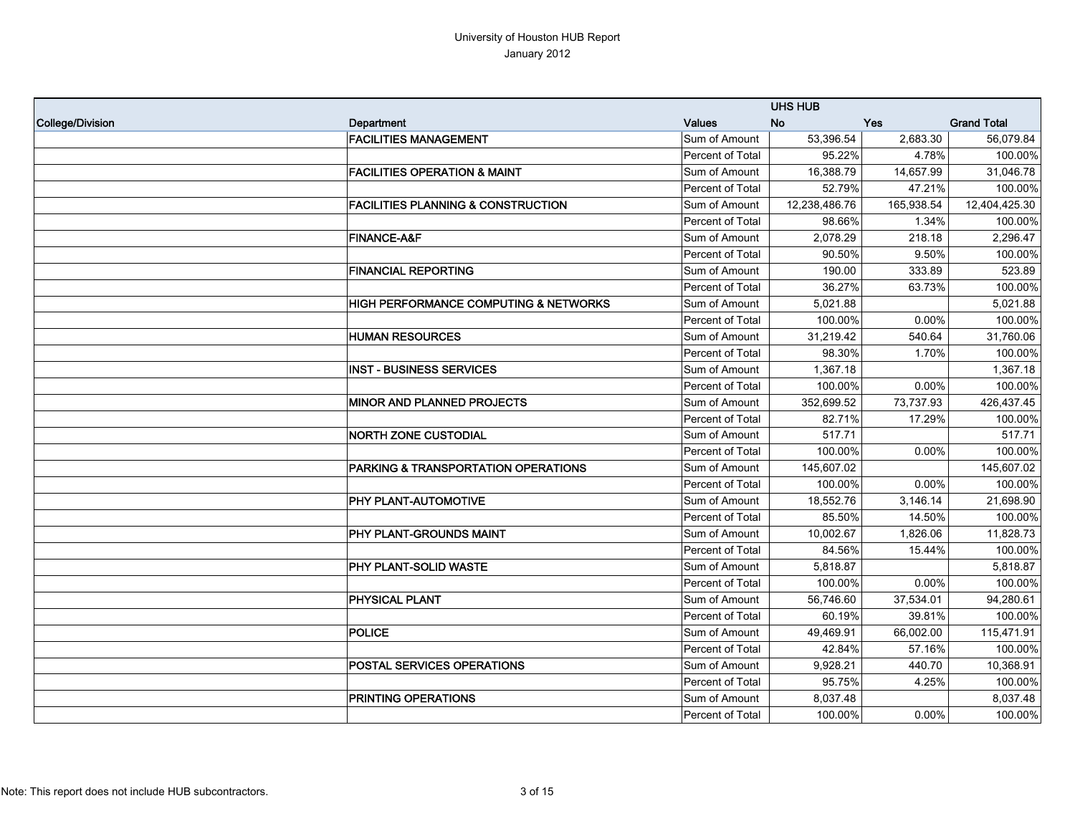|                  |                                                |                  | <b>UHS HUB</b> |            |                    |
|------------------|------------------------------------------------|------------------|----------------|------------|--------------------|
| College/Division | Department                                     | <b>Values</b>    | <b>No</b>      | <b>Yes</b> | <b>Grand Total</b> |
|                  | <b>FACILITIES MANAGEMENT</b>                   | Sum of Amount    | 53,396.54      | 2,683.30   | 56,079.84          |
|                  |                                                | Percent of Total | 95.22%         | 4.78%      | 100.00%            |
|                  | <b>FACILITIES OPERATION &amp; MAINT</b>        | Sum of Amount    | 16,388.79      | 14,657.99  | 31,046.78          |
|                  |                                                | Percent of Total | 52.79%         | 47.21%     | 100.00%            |
|                  | <b>FACILITIES PLANNING &amp; CONSTRUCTION</b>  | Sum of Amount    | 12,238,486.76  | 165,938.54 | 12,404,425.30      |
|                  |                                                | Percent of Total | 98.66%         | 1.34%      | 100.00%            |
|                  | <b>FINANCE-A&amp;F</b>                         | Sum of Amount    | 2,078.29       | 218.18     | 2,296.47           |
|                  |                                                | Percent of Total | 90.50%         | 9.50%      | 100.00%            |
|                  | <b>FINANCIAL REPORTING</b>                     | Sum of Amount    | 190.00         | 333.89     | 523.89             |
|                  |                                                | Percent of Total | 36.27%         | 63.73%     | 100.00%            |
|                  | HIGH PERFORMANCE COMPUTING & NETWORKS          | Sum of Amount    | 5,021.88       |            | 5,021.88           |
|                  |                                                | Percent of Total | 100.00%        | 0.00%      | 100.00%            |
|                  | <b>HUMAN RESOURCES</b>                         | Sum of Amount    | 31,219.42      | 540.64     | 31,760.06          |
|                  |                                                | Percent of Total | 98.30%         | 1.70%      | 100.00%            |
|                  | <b>INST - BUSINESS SERVICES</b>                | Sum of Amount    | 1,367.18       |            | 1,367.18           |
|                  |                                                | Percent of Total | 100.00%        | 0.00%      | 100.00%            |
|                  | <b>MINOR AND PLANNED PROJECTS</b>              | Sum of Amount    | 352,699.52     | 73,737.93  | 426,437.45         |
|                  |                                                | Percent of Total | 82.71%         | 17.29%     | 100.00%            |
|                  | <b>NORTH ZONE CUSTODIAL</b>                    | Sum of Amount    | 517.71         |            | 517.71             |
|                  |                                                | Percent of Total | 100.00%        | 0.00%      | 100.00%            |
|                  | <b>PARKING &amp; TRANSPORTATION OPERATIONS</b> | Sum of Amount    | 145,607.02     |            | 145,607.02         |
|                  |                                                | Percent of Total | 100.00%        | 0.00%      | 100.00%            |
|                  | PHY PLANT-AUTOMOTIVE                           | Sum of Amount    | 18,552.76      | 3,146.14   | 21,698.90          |
|                  |                                                | Percent of Total | 85.50%         | 14.50%     | 100.00%            |
|                  | PHY PLANT-GROUNDS MAINT                        | Sum of Amount    | 10,002.67      | 1,826.06   | 11,828.73          |
|                  |                                                | Percent of Total | 84.56%         | 15.44%     | 100.00%            |
|                  | <b>PHY PLANT-SOLID WASTE</b>                   | Sum of Amount    | 5,818.87       |            | 5,818.87           |
|                  |                                                | Percent of Total | 100.00%        | 0.00%      | 100.00%            |
|                  | <b>PHYSICAL PLANT</b>                          | Sum of Amount    | 56,746.60      | 37,534.01  | 94,280.61          |
|                  |                                                | Percent of Total | 60.19%         | 39.81%     | 100.00%            |
|                  | <b>POLICE</b>                                  | Sum of Amount    | 49,469.91      | 66,002.00  | 115,471.91         |
|                  |                                                | Percent of Total | 42.84%         | 57.16%     | 100.00%            |
|                  | <b>POSTAL SERVICES OPERATIONS</b>              | Sum of Amount    | 9,928.21       | 440.70     | 10,368.91          |
|                  |                                                | Percent of Total | 95.75%         | 4.25%      | 100.00%            |
|                  | <b>PRINTING OPERATIONS</b>                     | Sum of Amount    | 8,037.48       |            | 8,037.48           |
|                  |                                                | Percent of Total | 100.00%        | $0.00\%$   | 100.00%            |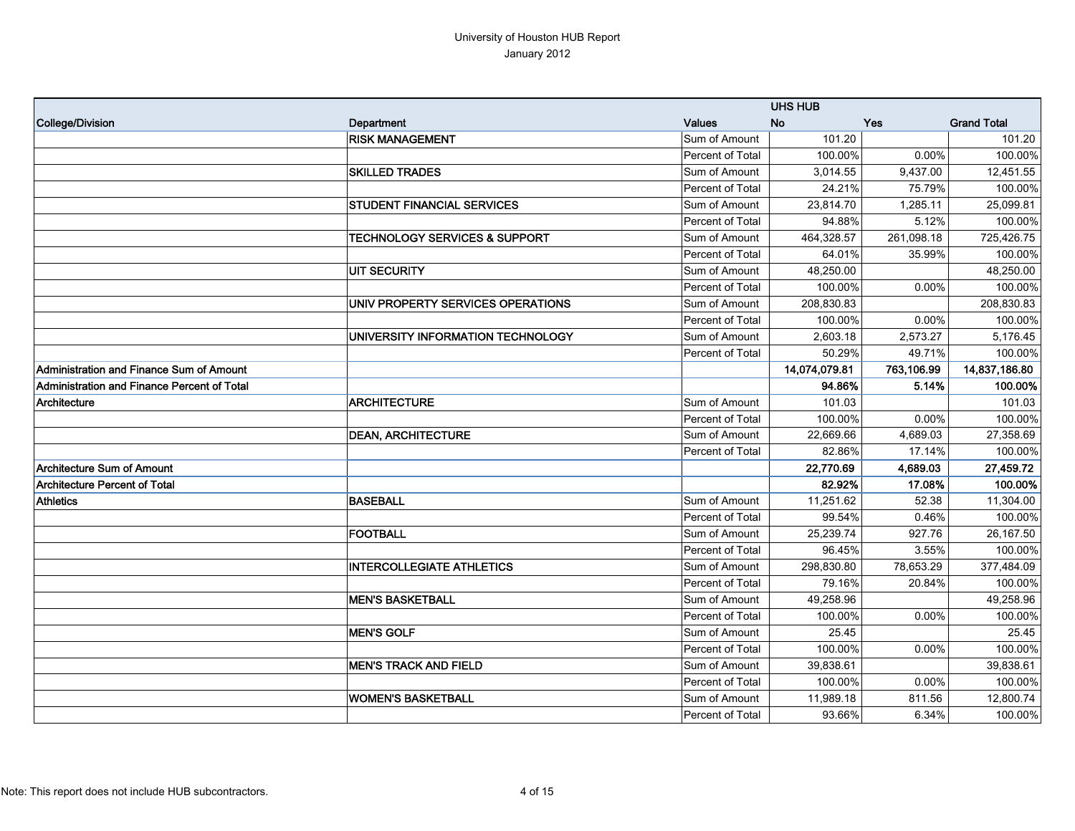|                                             |                                          |                  | <b>UHS HUB</b> |            |                    |
|---------------------------------------------|------------------------------------------|------------------|----------------|------------|--------------------|
| College/Division                            | Department                               | <b>Values</b>    | <b>No</b>      | Yes        | <b>Grand Total</b> |
|                                             | <b>RISK MANAGEMENT</b>                   | Sum of Amount    | 101.20         |            | 101.20             |
|                                             |                                          | Percent of Total | 100.00%        | 0.00%      | 100.00%            |
|                                             | <b>SKILLED TRADES</b>                    | Sum of Amount    | 3,014.55       | 9,437.00   | 12,451.55          |
|                                             |                                          | Percent of Total | 24.21%         | 75.79%     | 100.00%            |
|                                             | <b>STUDENT FINANCIAL SERVICES</b>        | Sum of Amount    | 23,814.70      | 1,285.11   | 25,099.81          |
|                                             |                                          | Percent of Total | 94.88%         | 5.12%      | 100.00%            |
|                                             | <b>TECHNOLOGY SERVICES &amp; SUPPORT</b> | Sum of Amount    | 464,328.57     | 261,098.18 | 725,426.75         |
|                                             |                                          | Percent of Total | 64.01%         | 35.99%     | 100.00%            |
|                                             | <b>UIT SECURITY</b>                      | Sum of Amount    | 48,250.00      |            | 48,250.00          |
|                                             |                                          | Percent of Total | 100.00%        | 0.00%      | 100.00%            |
|                                             | UNIV PROPERTY SERVICES OPERATIONS        | Sum of Amount    | 208,830.83     |            | 208,830.83         |
|                                             |                                          | Percent of Total | 100.00%        | 0.00%      | 100.00%            |
|                                             | UNIVERSITY INFORMATION TECHNOLOGY        | Sum of Amount    | 2,603.18       | 2,573.27   | 5,176.45           |
|                                             |                                          | Percent of Total | 50.29%         | 49.71%     | 100.00%            |
| Administration and Finance Sum of Amount    |                                          |                  | 14,074,079.81  | 763,106.99 | 14,837,186.80      |
| Administration and Finance Percent of Total |                                          |                  | 94.86%         | 5.14%      | 100.00%            |
| Architecture                                | <b>ARCHITECTURE</b>                      | Sum of Amount    | 101.03         |            | 101.03             |
|                                             |                                          | Percent of Total | 100.00%        | 0.00%      | 100.00%            |
|                                             | <b>DEAN, ARCHITECTURE</b>                | Sum of Amount    | 22,669.66      | 4,689.03   | 27,358.69          |
|                                             |                                          | Percent of Total | 82.86%         | 17.14%     | 100.00%            |
| <b>Architecture Sum of Amount</b>           |                                          |                  | 22,770.69      | 4,689.03   | 27,459.72          |
| <b>Architecture Percent of Total</b>        |                                          |                  | 82.92%         | 17.08%     | 100.00%            |
| <b>Athletics</b>                            | <b>BASEBALL</b>                          | Sum of Amount    | 11,251.62      | 52.38      | 11,304.00          |
|                                             |                                          | Percent of Total | 99.54%         | 0.46%      | 100.00%            |
|                                             | FOOTBALL                                 | Sum of Amount    | 25,239.74      | 927.76     | 26,167.50          |
|                                             |                                          | Percent of Total | 96.45%         | 3.55%      | 100.00%            |
|                                             | <b>INTERCOLLEGIATE ATHLETICS</b>         | Sum of Amount    | 298,830.80     | 78,653.29  | 377,484.09         |
|                                             |                                          | Percent of Total | 79.16%         | 20.84%     | 100.00%            |
|                                             | <b>MEN'S BASKETBALL</b>                  | Sum of Amount    | 49,258.96      |            | 49,258.96          |
|                                             |                                          | Percent of Total | 100.00%        | 0.00%      | 100.00%            |
|                                             | <b>MEN'S GOLF</b>                        | Sum of Amount    | 25.45          |            | 25.45              |
|                                             |                                          | Percent of Total | 100.00%        | $0.00\%$   | 100.00%            |
|                                             | <b>MEN'S TRACK AND FIELD</b>             | Sum of Amount    | 39,838.61      |            | 39,838.61          |
|                                             |                                          | Percent of Total | 100.00%        | 0.00%      | 100.00%            |
|                                             | <b>WOMEN'S BASKETBALL</b>                | Sum of Amount    | 11,989.18      | 811.56     | 12,800.74          |
|                                             |                                          | Percent of Total | 93.66%         | 6.34%      | 100.00%            |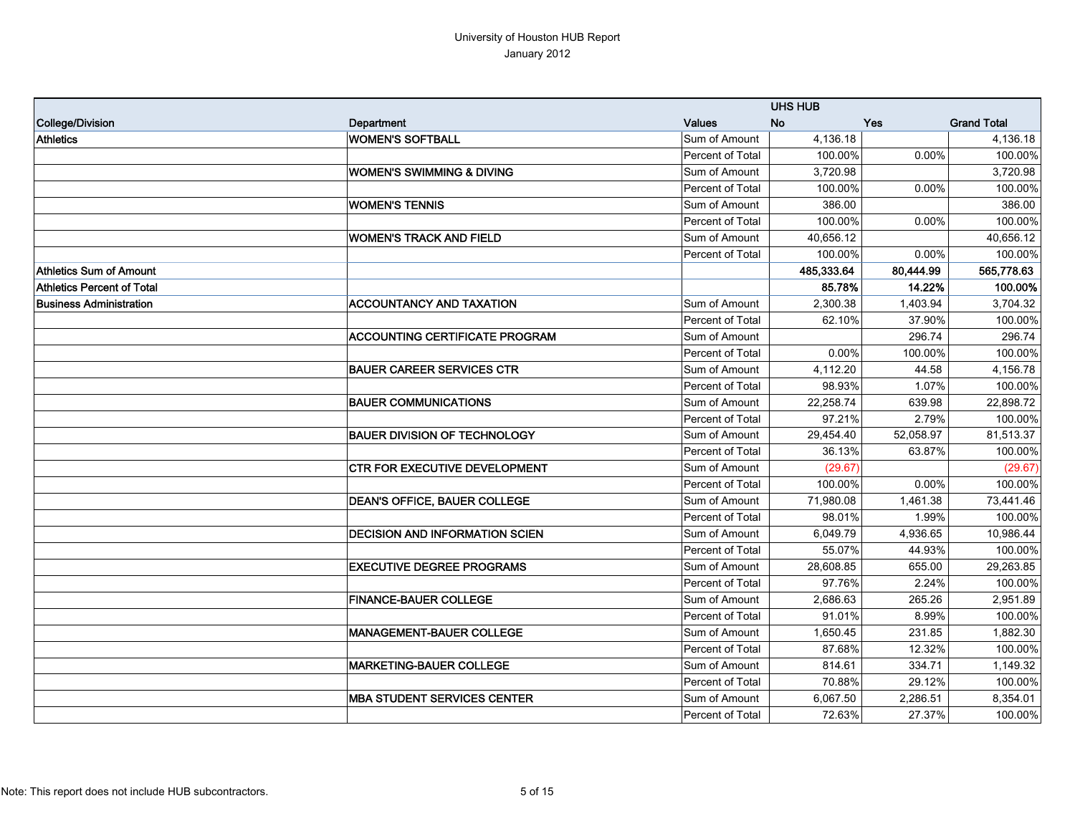|                                   |                                       |                  | <b>UHS HUB</b> |           |                    |
|-----------------------------------|---------------------------------------|------------------|----------------|-----------|--------------------|
| College/Division                  | Department                            | <b>Values</b>    | <b>No</b>      | Yes       | <b>Grand Total</b> |
| <b>Athletics</b>                  | <b>WOMEN'S SOFTBALL</b>               | Sum of Amount    | 4,136.18       |           | 4,136.18           |
|                                   |                                       | Percent of Total | 100.00%        | 0.00%     | 100.00%            |
|                                   | <b>WOMEN'S SWIMMING &amp; DIVING</b>  | Sum of Amount    | 3,720.98       |           | 3,720.98           |
|                                   |                                       | Percent of Total | 100.00%        | 0.00%     | 100.00%            |
|                                   | <b>WOMEN'S TENNIS</b>                 | Sum of Amount    | 386.00         |           | 386.00             |
|                                   |                                       | Percent of Total | 100.00%        | 0.00%     | 100.00%            |
|                                   | <b>WOMEN'S TRACK AND FIELD</b>        | Sum of Amount    | 40,656.12      |           | 40,656.12          |
|                                   |                                       | Percent of Total | 100.00%        | 0.00%     | 100.00%            |
| Athletics Sum of Amount           |                                       |                  | 485,333.64     | 80,444.99 | 565,778.63         |
| <b>Athletics Percent of Total</b> |                                       |                  | 85.78%         | 14.22%    | 100.00%            |
| <b>Business Administration</b>    | <b>ACCOUNTANCY AND TAXATION</b>       | Sum of Amount    | 2,300.38       | 1,403.94  | 3,704.32           |
|                                   |                                       | Percent of Total | 62.10%         | 37.90%    | 100.00%            |
|                                   | <b>ACCOUNTING CERTIFICATE PROGRAM</b> | Sum of Amount    |                | 296.74    | 296.74             |
|                                   |                                       | Percent of Total | 0.00%          | 100.00%   | 100.00%            |
|                                   | <b>BAUER CAREER SERVICES CTR</b>      | Sum of Amount    | 4,112.20       | 44.58     | 4,156.78           |
|                                   |                                       | Percent of Total | 98.93%         | 1.07%     | 100.00%            |
|                                   | <b>BAUER COMMUNICATIONS</b>           | Sum of Amount    | 22,258.74      | 639.98    | 22,898.72          |
|                                   |                                       | Percent of Total | 97.21%         | 2.79%     | 100.00%            |
|                                   | <b>BAUER DIVISION OF TECHNOLOGY</b>   | Sum of Amount    | 29,454.40      | 52,058.97 | 81,513.37          |
|                                   |                                       | Percent of Total | 36.13%         | 63.87%    | 100.00%            |
|                                   | <b>CTR FOR EXECUTIVE DEVELOPMENT</b>  | Sum of Amount    | (29.67)        |           | (29.67)            |
|                                   |                                       | Percent of Total | 100.00%        | 0.00%     | 100.00%            |
|                                   | <b>DEAN'S OFFICE, BAUER COLLEGE</b>   | Sum of Amount    | 71,980.08      | 1,461.38  | 73,441.46          |
|                                   |                                       | Percent of Total | 98.01%         | 1.99%     | 100.00%            |
|                                   | <b>DECISION AND INFORMATION SCIEN</b> | Sum of Amount    | 6,049.79       | 4,936.65  | 10,986.44          |
|                                   |                                       | Percent of Total | 55.07%         | 44.93%    | 100.00%            |
|                                   | <b>EXECUTIVE DEGREE PROGRAMS</b>      | Sum of Amount    | 28,608.85      | 655.00    | 29,263.85          |
|                                   |                                       | Percent of Total | 97.76%         | 2.24%     | 100.00%            |
|                                   | <b>FINANCE-BAUER COLLEGE</b>          | Sum of Amount    | 2,686.63       | 265.26    | 2,951.89           |
|                                   |                                       | Percent of Total | 91.01%         | 8.99%     | 100.00%            |
|                                   | <b>MANAGEMENT-BAUER COLLEGE</b>       | Sum of Amount    | 1,650.45       | 231.85    | 1,882.30           |
|                                   |                                       | Percent of Total | 87.68%         | 12.32%    | 100.00%            |
|                                   | <b>MARKETING-BAUER COLLEGE</b>        | Sum of Amount    | 814.61         | 334.71    | 1,149.32           |
|                                   |                                       | Percent of Total | 70.88%         | 29.12%    | 100.00%            |
|                                   | <b>MBA STUDENT SERVICES CENTER</b>    | Sum of Amount    | 6,067.50       | 2,286.51  | 8,354.01           |
|                                   |                                       | Percent of Total | 72.63%         | 27.37%    | 100.00%            |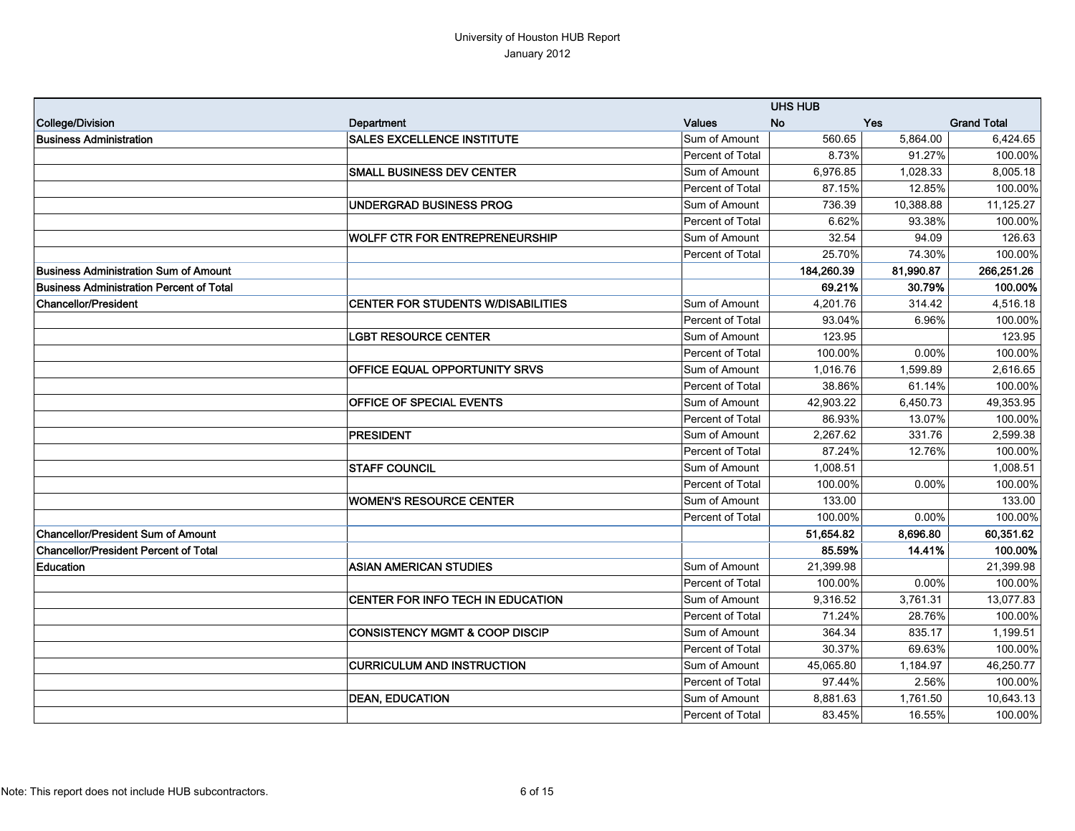|                                              |                                           |                         | <b>UHS HUB</b> |           |                    |
|----------------------------------------------|-------------------------------------------|-------------------------|----------------|-----------|--------------------|
| College/Division                             | Department                                | <b>Values</b>           | <b>No</b>      | Yes       | <b>Grand Total</b> |
| Business Administration                      | <b>SALES EXCELLENCE INSTITUTE</b>         | Sum of Amount           | 560.65         | 5,864.00  | 6,424.65           |
|                                              |                                           | Percent of Total        | 8.73%          | 91.27%    | 100.00%            |
|                                              | <b>SMALL BUSINESS DEV CENTER</b>          | Sum of Amount           | 6,976.85       | 1,028.33  | 8,005.18           |
|                                              |                                           | Percent of Total        | 87.15%         | 12.85%    | 100.00%            |
|                                              | UNDERGRAD BUSINESS PROG                   | Sum of Amount           | 736.39         | 10,388.88 | 11,125.27          |
|                                              |                                           | Percent of Total        | 6.62%          | 93.38%    | 100.00%            |
|                                              | <b>WOLFF CTR FOR ENTREPRENEURSHIP</b>     | Sum of Amount           | 32.54          | 94.09     | 126.63             |
|                                              |                                           | Percent of Total        | 25.70%         | 74.30%    | 100.00%            |
| <b>Business Administration Sum of Amount</b> |                                           |                         | 184,260.39     | 81,990.87 | 266,251.26         |
| Business Administration Percent of Total     |                                           |                         | 69.21%         | 30.79%    | 100.00%            |
| <b>Chancellor/President</b>                  | <b>CENTER FOR STUDENTS W/DISABILITIES</b> | Sum of Amount           | 4,201.76       | 314.42    | 4,516.18           |
|                                              |                                           | Percent of Total        | 93.04%         | 6.96%     | 100.00%            |
|                                              | <b>LGBT RESOURCE CENTER</b>               | Sum of Amount           | 123.95         |           | 123.95             |
|                                              |                                           | Percent of Total        | 100.00%        | $0.00\%$  | 100.00%            |
|                                              | <b>OFFICE EQUAL OPPORTUNITY SRVS</b>      | Sum of Amount           | 1.016.76       | 1.599.89  | 2.616.65           |
|                                              |                                           | Percent of Total        | 38.86%         | 61.14%    | 100.00%            |
|                                              | <b>OFFICE OF SPECIAL EVENTS</b>           | Sum of Amount           | 42,903.22      | 6,450.73  | 49,353.95          |
|                                              |                                           | Percent of Total        | 86.93%         | 13.07%    | 100.00%            |
|                                              | <b>PRESIDENT</b>                          | Sum of Amount           | 2.267.62       | 331.76    | 2,599.38           |
|                                              |                                           | <b>Percent of Total</b> | 87.24%         | 12.76%    | 100.00%            |
|                                              | <b>STAFF COUNCIL</b>                      | Sum of Amount           | 1,008.51       |           | 1,008.51           |
|                                              |                                           | Percent of Total        | 100.00%        | 0.00%     | 100.00%            |
|                                              | <b>WOMEN'S RESOURCE CENTER</b>            | Sum of Amount           | 133.00         |           | 133.00             |
|                                              |                                           | Percent of Total        | 100.00%        | 0.00%     | 100.00%            |
| <b>Chancellor/President Sum of Amount</b>    |                                           |                         | 51,654.82      | 8,696.80  | 60,351.62          |
| <b>Chancellor/President Percent of Total</b> |                                           |                         | 85.59%         | 14.41%    | 100.00%            |
| <b>Education</b>                             | <b>ASIAN AMERICAN STUDIES</b>             | Sum of Amount           | 21,399.98      |           | 21,399.98          |
|                                              |                                           | Percent of Total        | 100.00%        | 0.00%     | 100.00%            |
|                                              | CENTER FOR INFO TECH IN EDUCATION         | Sum of Amount           | 9,316.52       | 3,761.31  | 13,077.83          |
|                                              |                                           | Percent of Total        | 71.24%         | 28.76%    | 100.00%            |
|                                              | <b>CONSISTENCY MGMT &amp; COOP DISCIP</b> | Sum of Amount           | 364.34         | 835.17    | 1,199.51           |
|                                              |                                           | Percent of Total        | 30.37%         | 69.63%    | 100.00%            |
|                                              | <b>CURRICULUM AND INSTRUCTION</b>         | Sum of Amount           | 45,065.80      | 1,184.97  | 46,250.77          |
|                                              |                                           | <b>Percent of Total</b> | 97.44%         | 2.56%     | 100.00%            |
|                                              | <b>DEAN, EDUCATION</b>                    | Sum of Amount           | 8,881.63       | 1,761.50  | 10,643.13          |
|                                              |                                           | Percent of Total        | 83.45%         | 16.55%    | 100.00%            |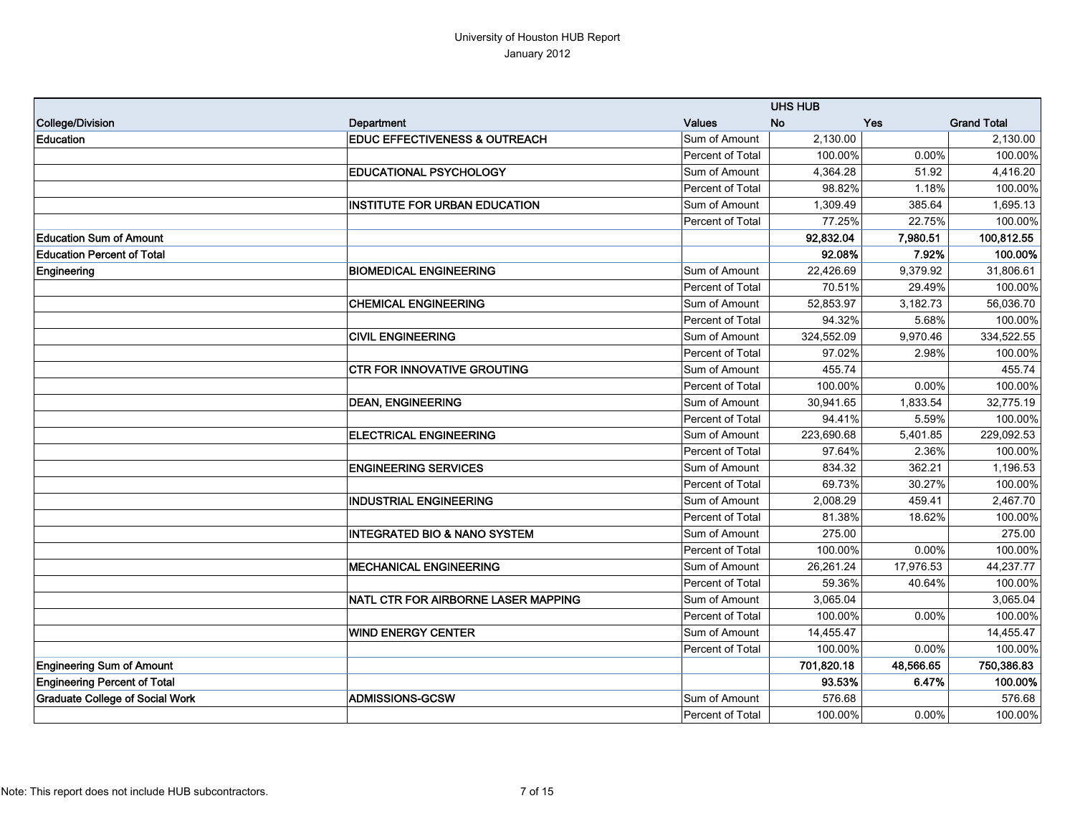|                                        |                                          |                         | <b>UHS HUB</b> |           |                    |
|----------------------------------------|------------------------------------------|-------------------------|----------------|-----------|--------------------|
| College/Division                       | Department                               | <b>Values</b>           | <b>No</b>      | Yes       | <b>Grand Total</b> |
| <b>Education</b>                       | <b>EDUC EFFECTIVENESS &amp; OUTREACH</b> | Sum of Amount           | 2,130.00       |           | 2,130.00           |
|                                        |                                          | Percent of Total        | 100.00%        | 0.00%     | 100.00%            |
|                                        | <b>EDUCATIONAL PSYCHOLOGY</b>            | Sum of Amount           | 4,364.28       | 51.92     | 4,416.20           |
|                                        |                                          | Percent of Total        | 98.82%         | 1.18%     | 100.00%            |
|                                        | <b>INSTITUTE FOR URBAN EDUCATION</b>     | Sum of Amount           | 1,309.49       | 385.64    | 1,695.13           |
|                                        |                                          | Percent of Total        | 77.25%         | 22.75%    | 100.00%            |
| <b>Education Sum of Amount</b>         |                                          |                         | 92,832.04      | 7,980.51  | 100,812.55         |
| <b>Education Percent of Total</b>      |                                          |                         | 92.08%         | 7.92%     | 100.00%            |
| Engineering                            | <b>BIOMEDICAL ENGINEERING</b>            | Sum of Amount           | 22,426.69      | 9,379.92  | 31,806.61          |
|                                        |                                          | Percent of Total        | 70.51%         | 29.49%    | 100.00%            |
|                                        | <b>CHEMICAL ENGINEERING</b>              | Sum of Amount           | 52,853.97      | 3,182.73  | 56,036.70          |
|                                        |                                          | Percent of Total        | 94.32%         | 5.68%     | 100.00%            |
|                                        | <b>CIVIL ENGINEERING</b>                 | Sum of Amount           | 324,552.09     | 9,970.46  | 334,522.55         |
|                                        |                                          | Percent of Total        | 97.02%         | 2.98%     | 100.00%            |
|                                        | <b>CTR FOR INNOVATIVE GROUTING</b>       | Sum of Amount           | 455.74         |           | 455.74             |
|                                        |                                          | Percent of Total        | 100.00%        | $0.00\%$  | 100.00%            |
|                                        | <b>DEAN, ENGINEERING</b>                 | Sum of Amount           | 30,941.65      | 1,833.54  | 32,775.19          |
|                                        |                                          | Percent of Total        | 94.41%         | 5.59%     | 100.00%            |
|                                        | <b>ELECTRICAL ENGINEERING</b>            | Sum of Amount           | 223,690.68     | 5,401.85  | 229,092.53         |
|                                        |                                          | Percent of Total        | 97.64%         | 2.36%     | 100.00%            |
|                                        | <b>ENGINEERING SERVICES</b>              | Sum of Amount           | 834.32         | 362.21    | 1,196.53           |
|                                        |                                          | Percent of Total        | 69.73%         | 30.27%    | 100.00%            |
|                                        | <b>INDUSTRIAL ENGINEERING</b>            | Sum of Amount           | 2,008.29       | 459.41    | 2,467.70           |
|                                        |                                          | Percent of Total        | 81.38%         | 18.62%    | 100.00%            |
|                                        | <b>INTEGRATED BIO &amp; NANO SYSTEM</b>  | Sum of Amount           | 275.00         |           | 275.00             |
|                                        |                                          | Percent of Total        | 100.00%        | 0.00%     | 100.00%            |
|                                        | <b>MECHANICAL ENGINEERING</b>            | Sum of Amount           | 26,261.24      | 17,976.53 | 44,237.77          |
|                                        |                                          | Percent of Total        | 59.36%         | 40.64%    | 100.00%            |
|                                        | NATL CTR FOR AIRBORNE LASER MAPPING      | Sum of Amount           | 3,065.04       |           | 3,065.04           |
|                                        |                                          | Percent of Total        | 100.00%        | 0.00%     | 100.00%            |
|                                        | <b>WIND ENERGY CENTER</b>                | Sum of Amount           | 14,455.47      |           | 14,455.47          |
|                                        |                                          | Percent of Total        | 100.00%        | $0.00\%$  | 100.00%            |
| <b>Engineering Sum of Amount</b>       |                                          |                         | 701,820.18     | 48,566.65 | 750,386.83         |
| <b>Engineering Percent of Total</b>    |                                          |                         | 93.53%         | 6.47%     | 100.00%            |
| <b>Graduate College of Social Work</b> | <b>ADMISSIONS-GCSW</b>                   | Sum of Amount           | 576.68         |           | 576.68             |
|                                        |                                          | <b>Percent of Total</b> | 100.00%        | $0.00\%$  | 100.00%            |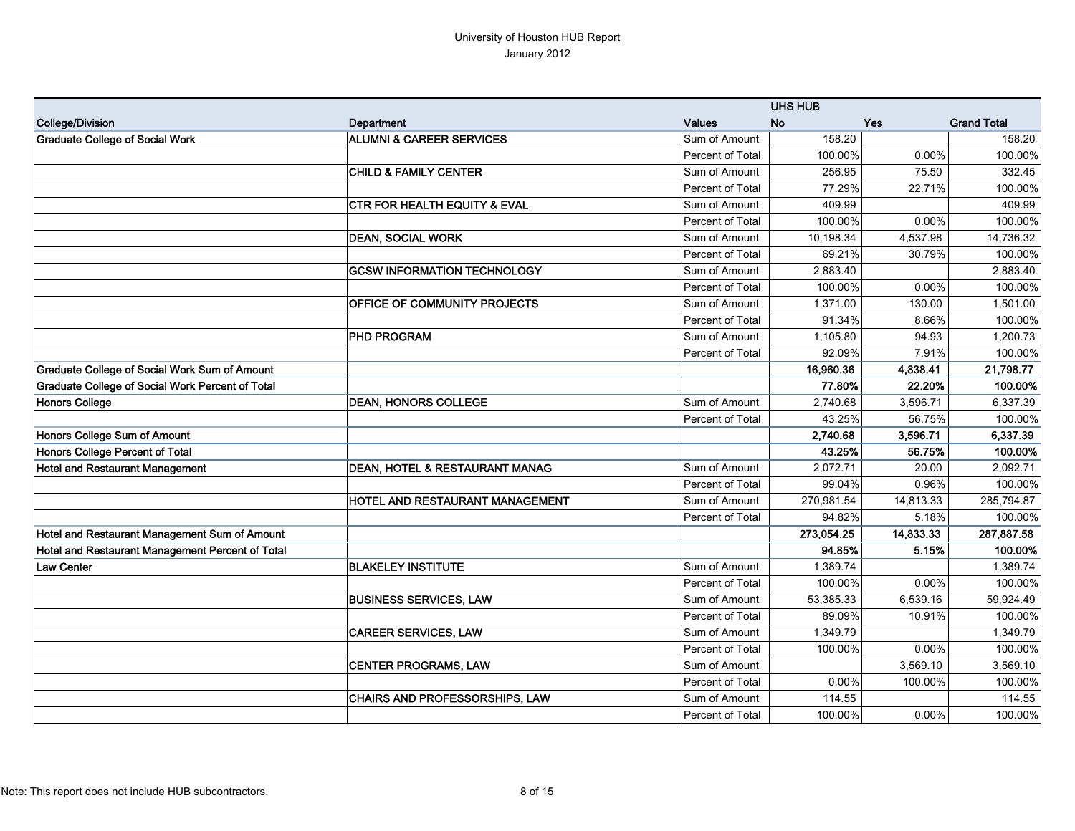|                                                  |                                         |                  | <b>UHS HUB</b> |           |                    |
|--------------------------------------------------|-----------------------------------------|------------------|----------------|-----------|--------------------|
| College/Division                                 | Department                              | <b>Values</b>    | <b>No</b>      | Yes       | <b>Grand Total</b> |
| <b>Graduate College of Social Work</b>           | <b>ALUMNI &amp; CAREER SERVICES</b>     | Sum of Amount    | 158.20         |           | 158.20             |
|                                                  |                                         | Percent of Total | 100.00%        | 0.00%     | 100.00%            |
|                                                  | <b>CHILD &amp; FAMILY CENTER</b>        | Sum of Amount    | 256.95         | 75.50     | 332.45             |
|                                                  |                                         | Percent of Total | 77.29%         | 22.71%    | 100.00%            |
|                                                  | <b>CTR FOR HEALTH EQUITY &amp; EVAL</b> | Sum of Amount    | 409.99         |           | 409.99             |
|                                                  |                                         | Percent of Total | 100.00%        | 0.00%     | 100.00%            |
|                                                  | <b>DEAN, SOCIAL WORK</b>                | Sum of Amount    | 10,198.34      | 4,537.98  | 14,736.32          |
|                                                  |                                         | Percent of Total | 69.21%         | 30.79%    | 100.00%            |
|                                                  | <b>GCSW INFORMATION TECHNOLOGY</b>      | Sum of Amount    | 2,883.40       |           | 2,883.40           |
|                                                  |                                         | Percent of Total | 100.00%        | 0.00%     | 100.00%            |
|                                                  | <b>OFFICE OF COMMUNITY PROJECTS</b>     | Sum of Amount    | 1,371.00       | 130.00    | 1,501.00           |
|                                                  |                                         | Percent of Total | 91.34%         | 8.66%     | 100.00%            |
|                                                  | <b>PHD PROGRAM</b>                      | Sum of Amount    | 1,105.80       | 94.93     | 1,200.73           |
|                                                  |                                         | Percent of Total | 92.09%         | 7.91%     | 100.00%            |
| Graduate College of Social Work Sum of Amount    |                                         |                  | 16,960.36      | 4,838.41  | 21,798.77          |
| Graduate College of Social Work Percent of Total |                                         |                  | 77.80%         | 22.20%    | 100.00%            |
| Honors College                                   | <b>DEAN, HONORS COLLEGE</b>             | Sum of Amount    | 2,740.68       | 3,596.71  | 6,337.39           |
|                                                  |                                         | Percent of Total | 43.25%         | 56.75%    | 100.00%            |
| Honors College Sum of Amount                     |                                         |                  | 2,740.68       | 3,596.71  | 6,337.39           |
| Honors College Percent of Total                  |                                         |                  | 43.25%         | 56.75%    | 100.00%            |
| <b>Hotel and Restaurant Management</b>           | DEAN, HOTEL & RESTAURANT MANAG          | Sum of Amount    | 2,072.71       | 20.00     | 2,092.71           |
|                                                  |                                         | Percent of Total | 99.04%         | 0.96%     | 100.00%            |
|                                                  | HOTEL AND RESTAURANT MANAGEMENT         | Sum of Amount    | 270,981.54     | 14,813.33 | 285,794.87         |
|                                                  |                                         | Percent of Total | 94.82%         | 5.18%     | 100.00%            |
| Hotel and Restaurant Management Sum of Amount    |                                         |                  | 273,054.25     | 14,833.33 | 287,887.58         |
| Hotel and Restaurant Management Percent of Total |                                         |                  | 94.85%         | 5.15%     | 100.00%            |
| <b>Law Center</b>                                | <b>BLAKELEY INSTITUTE</b>               | Sum of Amount    | 1.389.74       |           | 1.389.74           |
|                                                  |                                         | Percent of Total | 100.00%        | 0.00%     | 100.00%            |
|                                                  | <b>BUSINESS SERVICES, LAW</b>           | Sum of Amount    | 53,385.33      | 6,539.16  | 59.924.49          |
|                                                  |                                         | Percent of Total | 89.09%         | 10.91%    | 100.00%            |
|                                                  | <b>CAREER SERVICES, LAW</b>             | Sum of Amount    | 1,349.79       |           | 1,349.79           |
|                                                  |                                         | Percent of Total | 100.00%        | 0.00%     | 100.00%            |
|                                                  | <b>CENTER PROGRAMS, LAW</b>             | Sum of Amount    |                | 3,569.10  | 3,569.10           |
|                                                  |                                         | Percent of Total | 0.00%          | 100.00%   | 100.00%            |
|                                                  | CHAIRS AND PROFESSORSHIPS, LAW          | Sum of Amount    | 114.55         |           | 114.55             |
|                                                  |                                         | Percent of Total | 100.00%        | 0.00%     | 100.00%            |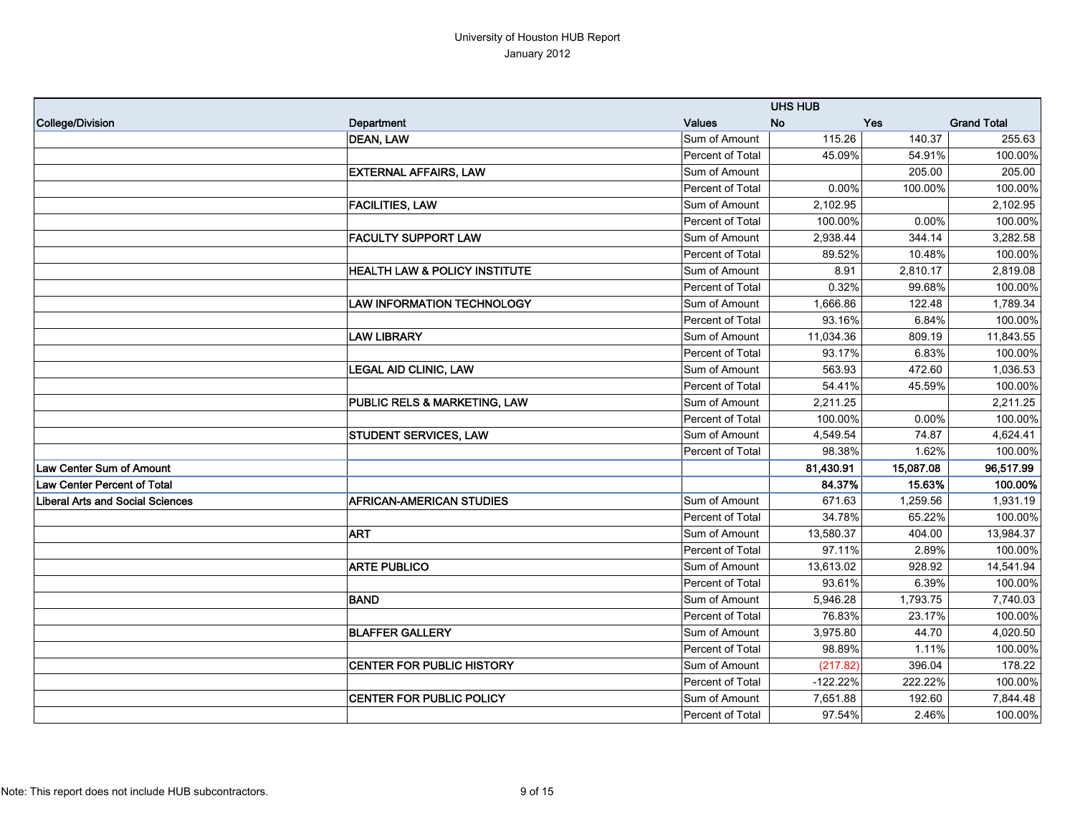## University of Houston HUB Report January 2012

|                                         |                                          |                         | <b>UHS HUB</b> |           |                    |
|-----------------------------------------|------------------------------------------|-------------------------|----------------|-----------|--------------------|
| College/Division                        | Department                               | <b>Values</b>           | <b>No</b>      | Yes       | <b>Grand Total</b> |
|                                         | <b>DEAN, LAW</b>                         | Sum of Amount           | 115.26         | 140.37    | 255.63             |
|                                         |                                          | Percent of Total        | 45.09%         | 54.91%    | 100.00%            |
|                                         | <b>EXTERNAL AFFAIRS, LAW</b>             | Sum of Amount           |                | 205.00    | 205.00             |
|                                         |                                          | Percent of Total        | 0.00%          | 100.00%   | 100.00%            |
|                                         | <b>FACILITIES, LAW</b>                   | Sum of Amount           | 2.102.95       |           | 2,102.95           |
|                                         |                                          | Percent of Total        | 100.00%        | 0.00%     | 100.00%            |
|                                         | <b>FACULTY SUPPORT LAW</b>               | Sum of Amount           | 2,938.44       | 344.14    | 3,282.58           |
|                                         |                                          | Percent of Total        | 89.52%         | 10.48%    | 100.00%            |
|                                         | <b>HEALTH LAW &amp; POLICY INSTITUTE</b> | Sum of Amount           | 8.91           | 2,810.17  | 2,819.08           |
|                                         |                                          | <b>Percent of Total</b> | 0.32%          | 99.68%    | 100.00%            |
|                                         | <b>LAW INFORMATION TECHNOLOGY</b>        | Sum of Amount           | 1,666.86       | 122.48    | 1,789.34           |
|                                         |                                          | Percent of Total        | 93.16%         | 6.84%     | 100.00%            |
|                                         | <b>LAW LIBRARY</b>                       | Sum of Amount           | 11,034.36      | 809.19    | 11,843.55          |
|                                         |                                          | Percent of Total        | 93.17%         | 6.83%     | 100.00%            |
|                                         | <b>LEGAL AID CLINIC, LAW</b>             | Sum of Amount           | 563.93         | 472.60    | 1,036.53           |
|                                         |                                          | Percent of Total        | 54.41%         | 45.59%    | 100.00%            |
|                                         | PUBLIC RELS & MARKETING, LAW             | Sum of Amount           | 2,211.25       |           | 2,211.25           |
|                                         |                                          | Percent of Total        | 100.00%        | 0.00%     | 100.00%            |
|                                         | <b>STUDENT SERVICES, LAW</b>             | Sum of Amount           | 4,549.54       | 74.87     | 4,624.41           |
|                                         |                                          | Percent of Total        | 98.38%         | 1.62%     | 100.00%            |
| Law Center Sum of Amount                |                                          |                         | 81,430.91      | 15,087.08 | 96,517.99          |
| <b>Law Center Percent of Total</b>      |                                          |                         | 84.37%         | 15.63%    | 100.00%            |
| <b>Liberal Arts and Social Sciences</b> | <b>AFRICAN-AMERICAN STUDIES</b>          | Sum of Amount           | 671.63         | 1,259.56  | 1,931.19           |
|                                         |                                          | Percent of Total        | 34.78%         | 65.22%    | 100.00%            |
|                                         | <b>ART</b>                               | Sum of Amount           | 13,580.37      | 404.00    | 13,984.37          |
|                                         |                                          | Percent of Total        | 97.11%         | 2.89%     | 100.00%            |
|                                         | <b>ARTE PUBLICO</b>                      | Sum of Amount           | 13,613.02      | 928.92    | 14,541.94          |
|                                         |                                          | Percent of Total        | 93.61%         | 6.39%     | 100.00%            |
|                                         | <b>BAND</b>                              | Sum of Amount           | 5,946.28       | 1,793.75  | 7,740.03           |
|                                         |                                          | Percent of Total        | 76.83%         | 23.17%    | 100.00%            |
|                                         | <b>BLAFFER GALLERY</b>                   | Sum of Amount           | 3,975.80       | 44.70     | 4,020.50           |
|                                         |                                          | Percent of Total        | 98.89%         | 1.11%     | 100.00%            |
|                                         | <b>CENTER FOR PUBLIC HISTORY</b>         | Sum of Amount           | (217.82)       | 396.04    | 178.22             |
|                                         |                                          | Percent of Total        | $-122.22%$     | 222.22%   | 100.00%            |
|                                         | <b>CENTER FOR PUBLIC POLICY</b>          | Sum of Amount           | 7,651.88       | 192.60    | 7,844.48           |
|                                         |                                          | Percent of Total        | 97.54%         | 2.46%     | 100.00%            |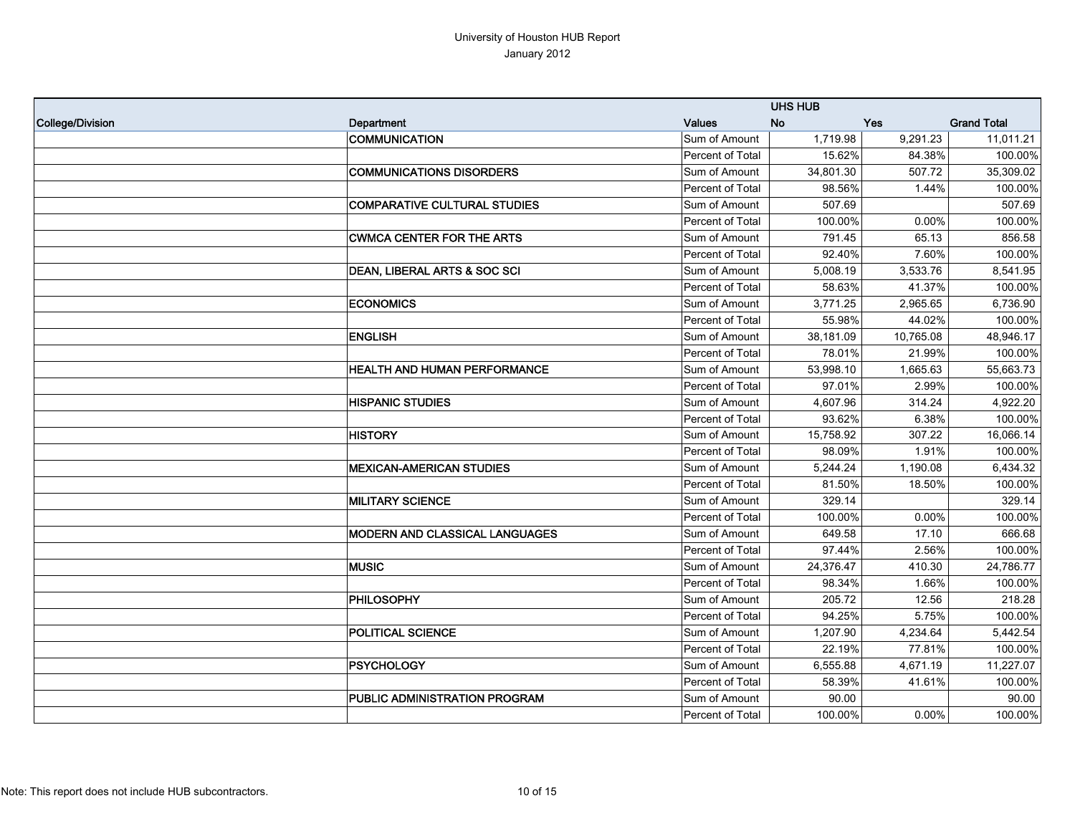|                  |                                         |                  | <b>UHS HUB</b> |           |                    |
|------------------|-----------------------------------------|------------------|----------------|-----------|--------------------|
| College/Division | Department                              | <b>Values</b>    | <b>No</b>      | Yes       | <b>Grand Total</b> |
|                  | <b>COMMUNICATION</b>                    | Sum of Amount    | 1,719.98       | 9,291.23  | 11,011.21          |
|                  |                                         | Percent of Total | 15.62%         | 84.38%    | 100.00%            |
|                  | <b>COMMUNICATIONS DISORDERS</b>         | Sum of Amount    | 34,801.30      | 507.72    | 35,309.02          |
|                  |                                         | Percent of Total | 98.56%         | 1.44%     | 100.00%            |
|                  | <b>COMPARATIVE CULTURAL STUDIES</b>     | Sum of Amount    | 507.69         |           | 507.69             |
|                  |                                         | Percent of Total | 100.00%        | 0.00%     | 100.00%            |
|                  | <b>CWMCA CENTER FOR THE ARTS</b>        | Sum of Amount    | 791.45         | 65.13     | 856.58             |
|                  |                                         | Percent of Total | 92.40%         | 7.60%     | 100.00%            |
|                  | <b>DEAN, LIBERAL ARTS &amp; SOC SCI</b> | Sum of Amount    | 5,008.19       | 3,533.76  | 8,541.95           |
|                  |                                         | Percent of Total | 58.63%         | 41.37%    | 100.00%            |
|                  | <b>ECONOMICS</b>                        | Sum of Amount    | 3,771.25       | 2,965.65  | 6,736.90           |
|                  |                                         | Percent of Total | 55.98%         | 44.02%    | 100.00%            |
|                  | <b>ENGLISH</b>                          | Sum of Amount    | 38,181.09      | 10,765.08 | 48,946.17          |
|                  |                                         | Percent of Total | 78.01%         | 21.99%    | 100.00%            |
|                  | <b>HEALTH AND HUMAN PERFORMANCE</b>     | Sum of Amount    | 53,998.10      | 1,665.63  | 55,663.73          |
|                  |                                         | Percent of Total | 97.01%         | 2.99%     | 100.00%            |
|                  | <b>HISPANIC STUDIES</b>                 | Sum of Amount    | 4,607.96       | 314.24    | 4,922.20           |
|                  |                                         | Percent of Total | 93.62%         | 6.38%     | 100.00%            |
|                  | <b>HISTORY</b>                          | Sum of Amount    | 15,758.92      | 307.22    | 16,066.14          |
|                  |                                         | Percent of Total | 98.09%         | 1.91%     | 100.00%            |
|                  | <b>MEXICAN-AMERICAN STUDIES</b>         | Sum of Amount    | 5,244.24       | 1,190.08  | 6,434.32           |
|                  |                                         | Percent of Total | 81.50%         | 18.50%    | 100.00%            |
|                  | <b>MILITARY SCIENCE</b>                 | Sum of Amount    | 329.14         |           | 329.14             |
|                  |                                         | Percent of Total | 100.00%        | 0.00%     | 100.00%            |
|                  | <b>MODERN AND CLASSICAL LANGUAGES</b>   | Sum of Amount    | 649.58         | 17.10     | 666.68             |
|                  |                                         | Percent of Total | 97.44%         | 2.56%     | 100.00%            |
|                  | <b>MUSIC</b>                            | Sum of Amount    | 24,376.47      | 410.30    | 24,786.77          |
|                  |                                         | Percent of Total | 98.34%         | 1.66%     | 100.00%            |
|                  | PHILOSOPHY                              | Sum of Amount    | 205.72         | 12.56     | 218.28             |
|                  |                                         | Percent of Total | 94.25%         | 5.75%     | 100.00%            |
|                  | <b>POLITICAL SCIENCE</b>                | Sum of Amount    | 1,207.90       | 4,234.64  | 5,442.54           |
|                  |                                         | Percent of Total | 22.19%         | 77.81%    | 100.00%            |
|                  | PSYCHOLOGY                              | Sum of Amount    | 6,555.88       | 4,671.19  | 11,227.07          |
|                  |                                         | Percent of Total | 58.39%         | 41.61%    | 100.00%            |
|                  | <b>PUBLIC ADMINISTRATION PROGRAM</b>    | Sum of Amount    | 90.00          |           | 90.00              |
|                  |                                         | Percent of Total | 100.00%        | 0.00%     | 100.00%            |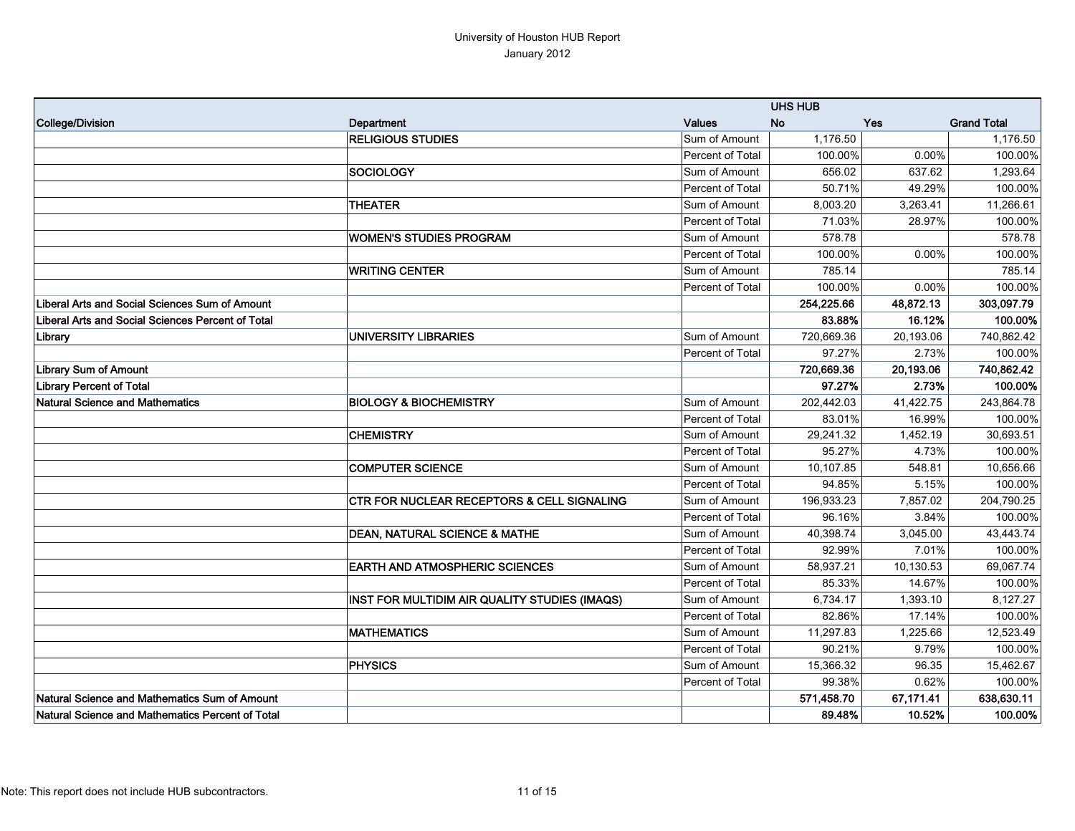## University of Houston HUB Report January 2012

|                                                   |                                                       |                  | <b>UHS HUB</b> |           |                    |
|---------------------------------------------------|-------------------------------------------------------|------------------|----------------|-----------|--------------------|
| College/Division                                  | Department                                            | <b>Values</b>    | <b>No</b>      | Yes       | <b>Grand Total</b> |
|                                                   | <b>RELIGIOUS STUDIES</b>                              | Sum of Amount    | 1,176.50       |           | 1,176.50           |
|                                                   |                                                       | Percent of Total | 100.00%        | 0.00%     | 100.00%            |
|                                                   | SOCIOLOGY                                             | Sum of Amount    | 656.02         | 637.62    | 1,293.64           |
|                                                   |                                                       | Percent of Total | 50.71%         | 49.29%    | 100.00%            |
|                                                   | <b>THEATER</b>                                        | Sum of Amount    | 8,003.20       | 3,263.41  | 11,266.61          |
|                                                   |                                                       | Percent of Total | 71.03%         | 28.97%    | 100.00%            |
|                                                   | <b>WOMEN'S STUDIES PROGRAM</b>                        | Sum of Amount    | 578.78         |           | 578.78             |
|                                                   |                                                       | Percent of Total | 100.00%        | 0.00%     | 100.00%            |
|                                                   | <b>WRITING CENTER</b>                                 | Sum of Amount    | 785.14         |           | 785.14             |
|                                                   |                                                       | Percent of Total | 100.00%        | 0.00%     | 100.00%            |
| Liberal Arts and Social Sciences Sum of Amount    |                                                       |                  | 254,225.66     | 48,872.13 | 303,097.79         |
| Liberal Arts and Social Sciences Percent of Total |                                                       |                  | 83.88%         | 16.12%    | 100.00%            |
| Library                                           | <b>UNIVERSITY LIBRARIES</b>                           | Sum of Amount    | 720,669.36     | 20,193.06 | 740,862.42         |
|                                                   |                                                       | Percent of Total | 97.27%         | 2.73%     | 100.00%            |
| Library Sum of Amount                             |                                                       |                  | 720,669.36     | 20,193.06 | 740,862.42         |
| <b>Library Percent of Total</b>                   |                                                       |                  | 97.27%         | 2.73%     | 100.00%            |
| Natural Science and Mathematics                   | <b>BIOLOGY &amp; BIOCHEMISTRY</b>                     | Sum of Amount    | 202,442.03     | 41,422.75 | 243,864.78         |
|                                                   |                                                       | Percent of Total | 83.01%         | 16.99%    | 100.00%            |
|                                                   | <b>CHEMISTRY</b>                                      | Sum of Amount    | 29,241.32      | 1,452.19  | 30,693.51          |
|                                                   |                                                       | Percent of Total | 95.27%         | 4.73%     | 100.00%            |
|                                                   | <b>COMPUTER SCIENCE</b>                               | Sum of Amount    | 10,107.85      | 548.81    | 10,656.66          |
|                                                   |                                                       | Percent of Total | 94.85%         | 5.15%     | 100.00%            |
|                                                   | <b>CTR FOR NUCLEAR RECEPTORS &amp; CELL SIGNALING</b> | Sum of Amount    | 196,933.23     | 7,857.02  | 204,790.25         |
|                                                   |                                                       | Percent of Total | 96.16%         | 3.84%     | 100.00%            |
|                                                   | <b>DEAN, NATURAL SCIENCE &amp; MATHE</b>              | Sum of Amount    | 40,398.74      | 3,045.00  | 43,443.74          |
|                                                   |                                                       | Percent of Total | 92.99%         | 7.01%     | 100.00%            |
|                                                   | <b>EARTH AND ATMOSPHERIC SCIENCES</b>                 | Sum of Amount    | 58,937.21      | 10,130.53 | 69,067.74          |
|                                                   |                                                       | Percent of Total | 85.33%         | 14.67%    | 100.00%            |
|                                                   | INST FOR MULTIDIM AIR QUALITY STUDIES (IMAQS)         | Sum of Amount    | 6,734.17       | 1,393.10  | 8,127.27           |
|                                                   |                                                       | Percent of Total | 82.86%         | 17.14%    | 100.00%            |
|                                                   | <b>MATHEMATICS</b>                                    | Sum of Amount    | 11,297.83      | 1,225.66  | 12,523.49          |
|                                                   |                                                       | Percent of Total | 90.21%         | 9.79%     | 100.00%            |
|                                                   | <b>PHYSICS</b>                                        | Sum of Amount    | 15,366.32      | 96.35     | 15,462.67          |
|                                                   |                                                       | Percent of Total | 99.38%         | 0.62%     | 100.00%            |
| Natural Science and Mathematics Sum of Amount     |                                                       |                  | 571,458.70     | 67,171.41 | 638,630.11         |
| Natural Science and Mathematics Percent of Total  |                                                       |                  | 89.48%         | 10.52%    | 100.00%            |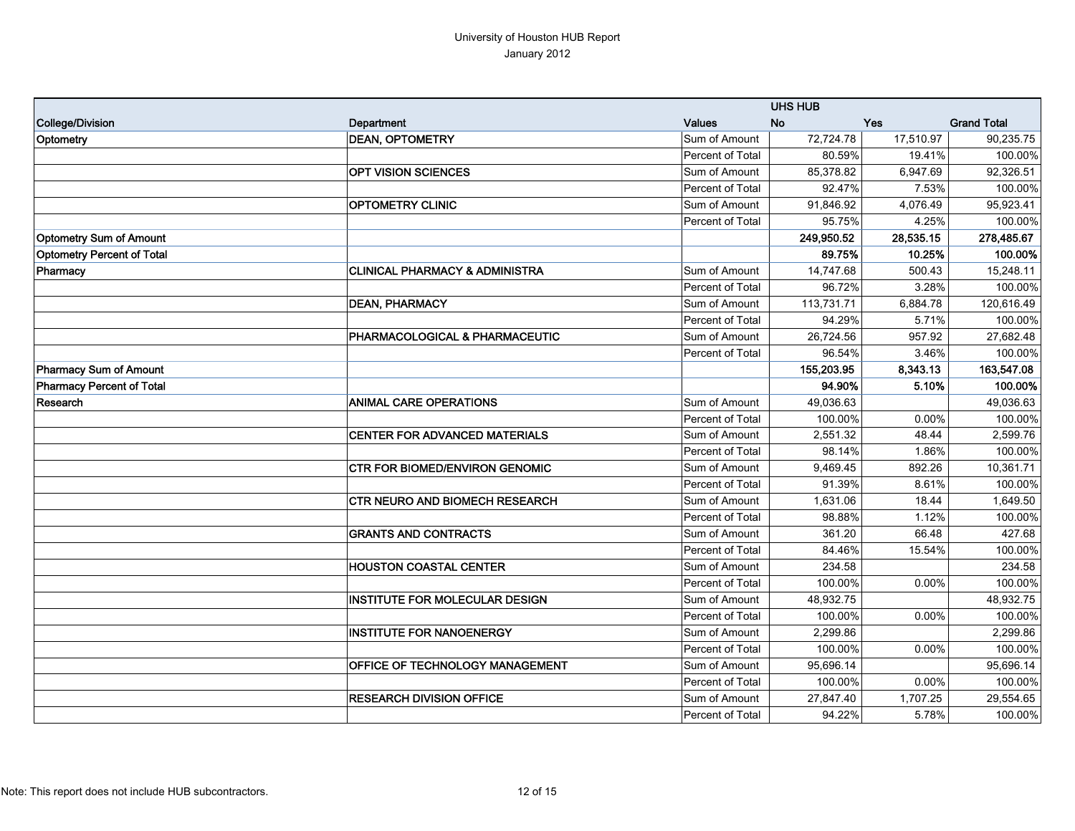|                                   |                                           |                  | <b>UHS HUB</b> |            |                    |
|-----------------------------------|-------------------------------------------|------------------|----------------|------------|--------------------|
| College/Division                  | Department                                | <b>Values</b>    | <b>No</b>      | <b>Yes</b> | <b>Grand Total</b> |
| Optometry                         | <b>DEAN, OPTOMETRY</b>                    | Sum of Amount    | 72,724.78      | 17,510.97  | 90,235.75          |
|                                   |                                           | Percent of Total | 80.59%         | 19.41%     | 100.00%            |
|                                   | <b>OPT VISION SCIENCES</b>                | Sum of Amount    | 85,378.82      | 6,947.69   | 92,326.51          |
|                                   |                                           | Percent of Total | 92.47%         | 7.53%      | 100.00%            |
|                                   | <b>OPTOMETRY CLINIC</b>                   | Sum of Amount    | 91,846.92      | 4,076.49   | 95,923.41          |
|                                   |                                           | Percent of Total | 95.75%         | 4.25%      | 100.00%            |
| <b>Optometry Sum of Amount</b>    |                                           |                  | 249,950.52     | 28,535.15  | 278,485.67         |
| <b>Optometry Percent of Total</b> |                                           |                  | 89.75%         | 10.25%     | 100.00%            |
| Pharmacy                          | <b>CLINICAL PHARMACY &amp; ADMINISTRA</b> | Sum of Amount    | 14,747.68      | 500.43     | 15,248.11          |
|                                   |                                           | Percent of Total | 96.72%         | 3.28%      | 100.00%            |
|                                   | <b>DEAN, PHARMACY</b>                     | Sum of Amount    | 113,731.71     | 6,884.78   | 120,616.49         |
|                                   |                                           | Percent of Total | 94.29%         | 5.71%      | 100.00%            |
|                                   | PHARMACOLOGICAL & PHARMACEUTIC            | Sum of Amount    | 26,724.56      | 957.92     | 27,682.48          |
|                                   |                                           | Percent of Total | 96.54%         | 3.46%      | 100.00%            |
| Pharmacy Sum of Amount            |                                           |                  | 155,203.95     | 8,343.13   | 163,547.08         |
| Pharmacy Percent of Total         |                                           |                  | 94.90%         | 5.10%      | 100.00%            |
| Research                          | <b>ANIMAL CARE OPERATIONS</b>             | Sum of Amount    | 49,036.63      |            | 49,036.63          |
|                                   |                                           | Percent of Total | 100.00%        | 0.00%      | 100.00%            |
|                                   | CENTER FOR ADVANCED MATERIALS             | Sum of Amount    | 2,551.32       | 48.44      | 2,599.76           |
|                                   |                                           | Percent of Total | 98.14%         | 1.86%      | 100.00%            |
|                                   | CTR FOR BIOMED/ENVIRON GENOMIC            | Sum of Amount    | 9,469.45       | 892.26     | 10,361.71          |
|                                   |                                           | Percent of Total | 91.39%         | 8.61%      | 100.00%            |
|                                   | <b>CTR NEURO AND BIOMECH RESEARCH</b>     | Sum of Amount    | 1,631.06       | 18.44      | 1,649.50           |
|                                   |                                           | Percent of Total | 98.88%         | 1.12%      | 100.00%            |
|                                   | <b>GRANTS AND CONTRACTS</b>               | Sum of Amount    | 361.20         | 66.48      | 427.68             |
|                                   |                                           | Percent of Total | 84.46%         | 15.54%     | 100.00%            |
|                                   | <b>HOUSTON COASTAL CENTER</b>             | Sum of Amount    | 234.58         |            | 234.58             |
|                                   |                                           | Percent of Total | 100.00%        | 0.00%      | 100.00%            |
|                                   | <b>INSTITUTE FOR MOLECULAR DESIGN</b>     | Sum of Amount    | 48,932.75      |            | 48,932.75          |
|                                   |                                           | Percent of Total | 100.00%        | 0.00%      | 100.00%            |
|                                   | <b>INSTITUTE FOR NANOENERGY</b>           | Sum of Amount    | 2,299.86       |            | 2,299.86           |
|                                   |                                           | Percent of Total | 100.00%        | 0.00%      | 100.00%            |
|                                   | <b>OFFICE OF TECHNOLOGY MANAGEMENT</b>    | Sum of Amount    | 95,696.14      |            | 95,696.14          |
|                                   |                                           | Percent of Total | 100.00%        | 0.00%      | 100.00%            |
|                                   | <b>RESEARCH DIVISION OFFICE</b>           | Sum of Amount    | 27,847.40      | 1,707.25   | 29,554.65          |
|                                   |                                           | Percent of Total | 94.22%         | 5.78%      | 100.00%            |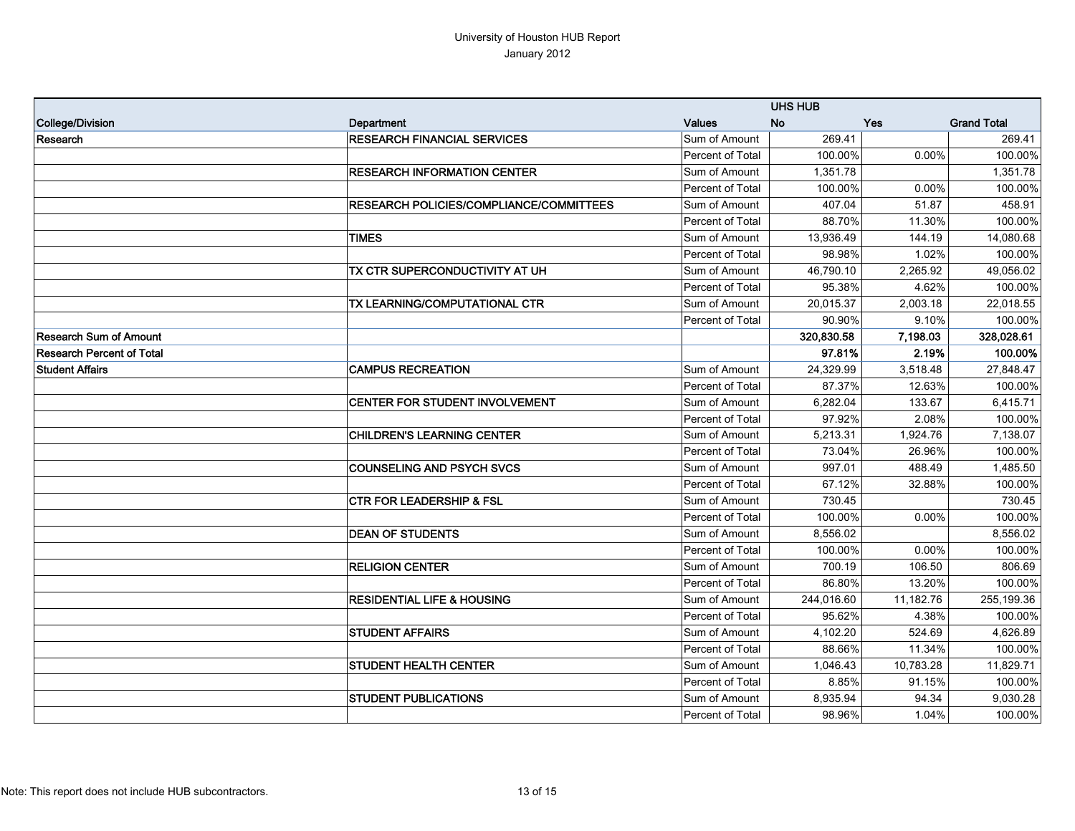|                                  |                                                | <b>UHS HUB</b>   |            |           |                    |
|----------------------------------|------------------------------------------------|------------------|------------|-----------|--------------------|
| College/Division                 | Department                                     | <b>Values</b>    | <b>No</b>  | Yes       | <b>Grand Total</b> |
| Research                         | <b>RESEARCH FINANCIAL SERVICES</b>             | Sum of Amount    | 269.41     |           | 269.41             |
|                                  |                                                | Percent of Total | 100.00%    | $0.00\%$  | 100.00%            |
|                                  | <b>RESEARCH INFORMATION CENTER</b>             | Sum of Amount    | 1,351.78   |           | 1,351.78           |
|                                  |                                                | Percent of Total | 100.00%    | 0.00%     | 100.00%            |
|                                  | <b>RESEARCH POLICIES/COMPLIANCE/COMMITTEES</b> | Sum of Amount    | 407.04     | 51.87     | 458.91             |
|                                  |                                                | Percent of Total | 88.70%     | 11.30%    | 100.00%            |
|                                  | <b>TIMES</b>                                   | Sum of Amount    | 13,936.49  | 144.19    | 14,080.68          |
|                                  |                                                | Percent of Total | 98.98%     | 1.02%     | 100.00%            |
|                                  | TX CTR SUPERCONDUCTIVITY AT UH                 | Sum of Amount    | 46,790.10  | 2,265.92  | 49,056.02          |
|                                  |                                                | Percent of Total | 95.38%     | 4.62%     | 100.00%            |
|                                  | TX LEARNING/COMPUTATIONAL CTR                  | Sum of Amount    | 20,015.37  | 2,003.18  | 22,018.55          |
|                                  |                                                | Percent of Total | 90.90%     | 9.10%     | 100.00%            |
| <b>Research Sum of Amount</b>    |                                                |                  | 320,830.58 | 7,198.03  | 328,028.61         |
| <b>Research Percent of Total</b> |                                                |                  | 97.81%     | 2.19%     | 100.00%            |
| <b>Student Affairs</b>           | <b>CAMPUS RECREATION</b>                       | Sum of Amount    | 24,329.99  | 3,518.48  | 27.848.47          |
|                                  |                                                | Percent of Total | 87.37%     | 12.63%    | 100.00%            |
|                                  | CENTER FOR STUDENT INVOLVEMENT                 | Sum of Amount    | 6,282.04   | 133.67    | 6,415.71           |
|                                  |                                                | Percent of Total | 97.92%     | 2.08%     | 100.00%            |
|                                  | <b>CHILDREN'S LEARNING CENTER</b>              | Sum of Amount    | 5,213.31   | 1,924.76  | 7,138.07           |
|                                  |                                                | Percent of Total | 73.04%     | 26.96%    | 100.00%            |
|                                  | <b>COUNSELING AND PSYCH SVCS</b>               | Sum of Amount    | 997.01     | 488.49    | 1,485.50           |
|                                  |                                                | Percent of Total | 67.12%     | 32.88%    | 100.00%            |
|                                  | <b>CTR FOR LEADERSHIP &amp; FSL</b>            | Sum of Amount    | 730.45     |           | 730.45             |
|                                  |                                                | Percent of Total | 100.00%    | 0.00%     | 100.00%            |
|                                  | <b>DEAN OF STUDENTS</b>                        | Sum of Amount    | 8,556.02   |           | 8,556.02           |
|                                  |                                                | Percent of Total | 100.00%    | 0.00%     | 100.00%            |
|                                  | <b>RELIGION CENTER</b>                         | Sum of Amount    | 700.19     | 106.50    | 806.69             |
|                                  |                                                | Percent of Total | 86.80%     | 13.20%    | 100.00%            |
|                                  | <b>RESIDENTIAL LIFE &amp; HOUSING</b>          | Sum of Amount    | 244,016.60 | 11,182.76 | 255,199.36         |
|                                  |                                                | Percent of Total | 95.62%     | 4.38%     | 100.00%            |
|                                  | <b>STUDENT AFFAIRS</b>                         | Sum of Amount    | 4,102.20   | 524.69    | 4,626.89           |
|                                  |                                                | Percent of Total | 88.66%     | 11.34%    | 100.00%            |
|                                  | <b>STUDENT HEALTH CENTER</b>                   | Sum of Amount    | 1,046.43   | 10,783.28 | 11,829.71          |
|                                  |                                                | Percent of Total | 8.85%      | 91.15%    | 100.00%            |
|                                  | <b>STUDENT PUBLICATIONS</b>                    | Sum of Amount    | 8,935.94   | 94.34     | 9,030.28           |
|                                  |                                                | Percent of Total | 98.96%     | 1.04%     | 100.00%            |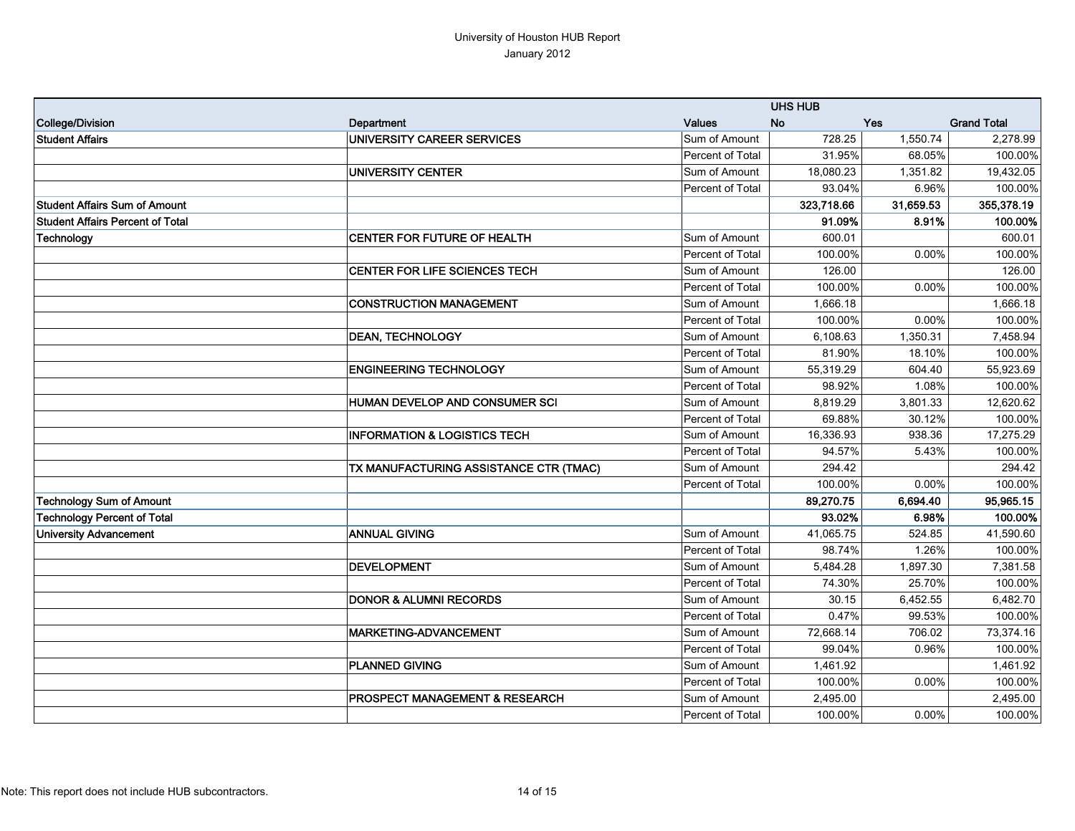|                                         |                                           |                  | <b>UHS HUB</b> |            |                    |
|-----------------------------------------|-------------------------------------------|------------------|----------------|------------|--------------------|
| College/Division                        | Department                                | <b>Values</b>    | <b>No</b>      | <b>Yes</b> | <b>Grand Total</b> |
| <b>Student Affairs</b>                  | UNIVERSITY CAREER SERVICES                | Sum of Amount    | 728.25         | 1,550.74   | 2,278.99           |
|                                         |                                           | Percent of Total | 31.95%         | 68.05%     | 100.00%            |
|                                         | UNIVERSITY CENTER                         | Sum of Amount    | 18,080.23      | 1,351.82   | 19,432.05          |
|                                         |                                           | Percent of Total | 93.04%         | 6.96%      | 100.00%            |
| <b>Student Affairs Sum of Amount</b>    |                                           |                  | 323,718.66     | 31,659.53  | 355,378.19         |
| <b>Student Affairs Percent of Total</b> |                                           |                  | 91.09%         | 8.91%      | 100.00%            |
| Technology                              | CENTER FOR FUTURE OF HEALTH               | Sum of Amount    | 600.01         |            | 600.01             |
|                                         |                                           | Percent of Total | 100.00%        | 0.00%      | 100.00%            |
|                                         | CENTER FOR LIFE SCIENCES TECH             | Sum of Amount    | 126.00         |            | 126.00             |
|                                         |                                           | Percent of Total | 100.00%        | 0.00%      | 100.00%            |
|                                         | <b>CONSTRUCTION MANAGEMENT</b>            | Sum of Amount    | 1,666.18       |            | 1,666.18           |
|                                         |                                           | Percent of Total | 100.00%        | 0.00%      | 100.00%            |
|                                         | <b>DEAN, TECHNOLOGY</b>                   | Sum of Amount    | 6,108.63       | 1,350.31   | 7,458.94           |
|                                         |                                           | Percent of Total | 81.90%         | 18.10%     | 100.00%            |
|                                         | <b>ENGINEERING TECHNOLOGY</b>             | Sum of Amount    | 55,319.29      | 604.40     | 55.923.69          |
|                                         |                                           | Percent of Total | 98.92%         | 1.08%      | 100.00%            |
|                                         | <b>HUMAN DEVELOP AND CONSUMER SCI</b>     | Sum of Amount    | 8,819.29       | 3,801.33   | 12,620.62          |
|                                         |                                           | Percent of Total | 69.88%         | 30.12%     | 100.00%            |
|                                         | <b>INFORMATION &amp; LOGISTICS TECH</b>   | Sum of Amount    | 16,336.93      | 938.36     | 17,275.29          |
|                                         |                                           | Percent of Total | 94.57%         | 5.43%      | 100.00%            |
|                                         | TX MANUFACTURING ASSISTANCE CTR (TMAC)    | Sum of Amount    | 294.42         |            | 294.42             |
|                                         |                                           | Percent of Total | 100.00%        | 0.00%      | 100.00%            |
| <b>Technology Sum of Amount</b>         |                                           |                  | 89,270.75      | 6,694.40   | 95,965.15          |
| <b>Technology Percent of Total</b>      |                                           |                  | 93.02%         | 6.98%      | 100.00%            |
| <b>University Advancement</b>           | <b>ANNUAL GIVING</b>                      | Sum of Amount    | 41,065.75      | 524.85     | 41,590.60          |
|                                         |                                           | Percent of Total | 98.74%         | 1.26%      | 100.00%            |
|                                         | DEVELOPMENT                               | Sum of Amount    | 5,484.28       | 1,897.30   | 7,381.58           |
|                                         |                                           | Percent of Total | 74.30%         | 25.70%     | 100.00%            |
|                                         | <b>DONOR &amp; ALUMNI RECORDS</b>         | Sum of Amount    | 30.15          | 6,452.55   | 6,482.70           |
|                                         |                                           | Percent of Total | 0.47%          | 99.53%     | 100.00%            |
|                                         | <b>MARKETING-ADVANCEMENT</b>              | Sum of Amount    | 72,668.14      | 706.02     | 73,374.16          |
|                                         |                                           | Percent of Total | 99.04%         | 0.96%      | 100.00%            |
|                                         | <b>PLANNED GIVING</b>                     | Sum of Amount    | 1,461.92       |            | 1,461.92           |
|                                         |                                           | Percent of Total | 100.00%        | $0.00\%$   | 100.00%            |
|                                         | <b>PROSPECT MANAGEMENT &amp; RESEARCH</b> | Sum of Amount    | 2,495.00       |            | 2,495.00           |
|                                         |                                           | Percent of Total | 100.00%        | 0.00%      | 100.00%            |